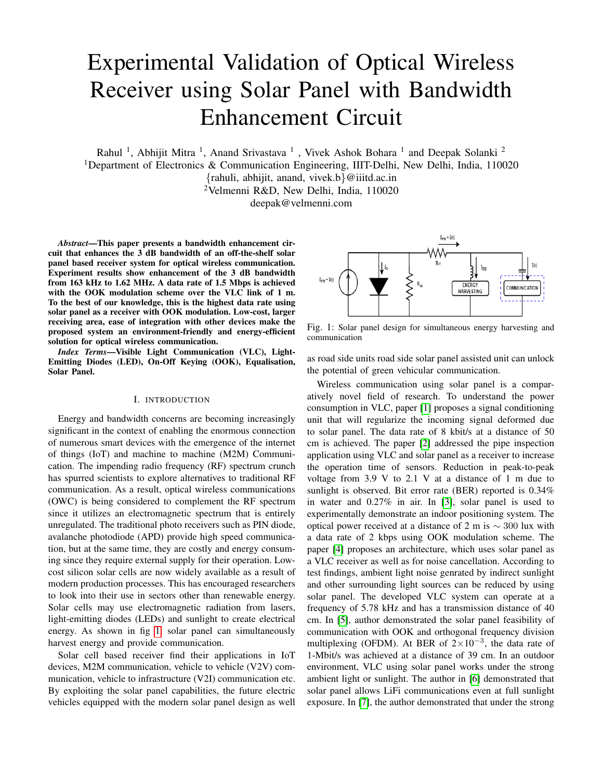# Experimental Validation of Optical Wireless Receiver using Solar Panel with Bandwidth Enhancement Circuit

Rahul<sup>1</sup>, Abhijit Mitra<sup>1</sup>, Anand Srivastava<sup>1</sup>, Vivek Ashok Bohara<sup>1</sup> and Deepak Solanki<sup>2</sup>

<sup>1</sup>Department of Electronics & Communication Engineering, IIIT-Delhi, New Delhi, India, 110020

{rahuli, abhijit, anand, vivek.b}@iiitd.ac.in <sup>2</sup>Velmenni R&D, New Delhi, India, 110020

deepak@velmenni.com

*Abstract*—This paper presents a bandwidth enhancement circuit that enhances the 3 dB bandwidth of an off-the-shelf solar panel based receiver system for optical wireless communication. Experiment results show enhancement of the 3 dB bandwidth from 163 kHz to 1.62 MHz. A data rate of 1.5 Mbps is achieved with the OOK modulation scheme over the VLC link of 1 m. To the best of our knowledge, this is the highest data rate using solar panel as a receiver with OOK modulation. Low-cost, larger receiving area, ease of integration with other devices make the proposed system an environment-friendly and energy-efficient solution for optical wireless communication.

*Index Terms*—Visible Light Communication (VLC), Light-Emitting Diodes (LED), On-Off Keying (OOK), Equalisation, Solar Panel.

### I. INTRODUCTION

Energy and bandwidth concerns are becoming increasingly significant in the context of enabling the enormous connection of numerous smart devices with the emergence of the internet of things (IoT) and machine to machine (M2M) Communication. The impending radio frequency (RF) spectrum crunch has spurred scientists to explore alternatives to traditional RF communication. As a result, optical wireless communications (OWC) is being considered to complement the RF spectrum since it utilizes an electromagnetic spectrum that is entirely unregulated. The traditional photo receivers such as PIN diode, avalanche photodiode (APD) provide high speed communication, but at the same time, they are costly and energy consuming since they require external supply for their operation. Lowcost silicon solar cells are now widely available as a result of modern production processes. This has encouraged researchers to look into their use in sectors other than renewable energy. Solar cells may use electromagnetic radiation from lasers, light-emitting diodes (LEDs) and sunlight to create electrical energy. As shown in fig [1,](#page-0-0) solar panel can simultaneously harvest energy and provide communication.

Solar cell based receiver find their applications in IoT devices, M2M communication, vehicle to vehicle (V2V) communication, vehicle to infrastructure (V2I) communication etc. By exploiting the solar panel capabilities, the future electric vehicles equipped with the modern solar panel design as well

<span id="page-0-0"></span>

Fig. 1: Solar panel design for simultaneous energy harvesting and communication

as road side units road side solar panel assisted unit can unlock the potential of green vehicular communication.

Wireless communication using solar panel is a comparatively novel field of research. To understand the power consumption in VLC, paper [\[1\]](#page-5-0) proposes a signal conditioning unit that will regularize the incoming signal deformed due to solar panel. The data rate of 8 kbit/s at a distance of 50 cm is achieved. The paper [\[2\]](#page-5-1) addressed the pipe inspection application using VLC and solar panel as a receiver to increase the operation time of sensors. Reduction in peak-to-peak voltage from 3.9 V to 2.1 V at a distance of 1 m due to sunlight is observed. Bit error rate (BER) reported is 0.34% in water and 0.27% in air. In [\[3\]](#page-5-2), solar panel is used to experimentally demonstrate an indoor positioning system. The optical power received at a distance of 2 m is  $\sim$  300 lux with a data rate of 2 kbps using OOK modulation scheme. The paper [\[4\]](#page-5-3) proposes an architecture, which uses solar panel as a VLC receiver as well as for noise cancellation. According to test findings, ambient light noise genrated by indirect sunlight and other surrounding light sources can be reduced by using solar panel. The developed VLC system can operate at a frequency of 5.78 kHz and has a transmission distance of 40 cm. In [\[5\]](#page-5-4), author demonstrated the solar panel feasibility of communication with OOK and orthogonal frequency division multiplexing (OFDM). At BER of  $2 \times 10^{-3}$ , the data rate of 1-Mbit/s was achieved at a distance of 39 cm. In an outdoor environment, VLC using solar panel works under the strong ambient light or sunlight. The author in [\[6\]](#page-5-5) demonstrated that solar panel allows LiFi communications even at full sunlight exposure. In [\[7\]](#page-5-6), the author demonstrated that under the strong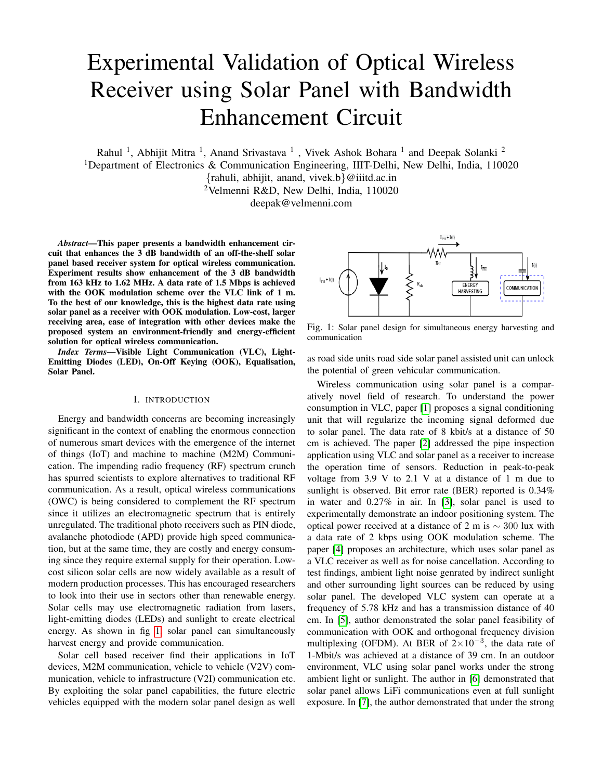<span id="page-1-0"></span>

Fig. 2: Electrical equivalent model of solar panel

sunlight, their is slight drop in the signal strength and SNR when measured with respect to frequency. But at the same time the amount of energy harvested increase to the maximum power point level.

The present paper includes the reconfiguration of a receiver unit by using an bandwidth enhancement circuit (BEC) to enhance the 3 dB bandwidth substantially. A data rate of 1.5 Mbps is achieved at a distance of 1 m in the presence of ambient room light of 130 lux. A simple OOK modulation is used to achieve the reported data rate, in which the information is encoded in the form of logic low and logic high voltage levels. Testing with and without the BEC was done as part of the procedure, as well as for transmission demonstration. The rest of this paper is organized as follows. Section II describes the principle of operations of a solar panel, section III describes the bandwidth enhancement circuit design and its mathematical modeling. Communication capability in terms of various results is discussed in section IV followed by the concluding remarks in section V.

## II. PRINCIPLE OF OPERATION OF A SOLAR PANEL

The DC model of solar panel is well studied in the past [\[8\]](#page-5-7)- [\[9\]](#page-5-8), the equivalent circuit model as shown in Fig. [2.](#page-1-0) Based on the solar panel responsivity, the generated electric current will flow through the internal diode and parasitic resistances. The current-voltage characteristics based on the single diode model is given by:

$$
I = I_{PH} - I_d - \frac{V + I.R_{sr}}{R_{sh}}\tag{1}
$$

$$
V = I.R_{load} \tag{2}
$$

$$
I_d = I_0 \, exp\left[\frac{V + I.R_{sr}}{n.V_T} - 1\right] \tag{3}
$$

In (1) shows that the relationship between current and voltage is nonlinear. The photocurrent source  $I_{PH}$  is connected in parallel with the diode, whose forward current is denoted as  $I_d$ . A series resistance  $R_{sr}$  depends on the interconnection among layers, and grid resistance [\[10\]](#page-5-9). The shunt resistance  $R_{\text{sh}}$  is due to the leakage current of the p-n junction.  $I_0$  is the reverse saturation current of the diode, *n* is the number of cells in the series connection in a solar panel, and  $V<sub>T</sub>$  thermal equivalent voltage of the diode.

To capture the AC characteristic of a solar panel the communication model needs to be followed as shown in Fig. [3.](#page-1-1) The main parameter of this AC model is the junction capacitor of the device, which corresponds to control the rise

<span id="page-1-1"></span>



time and fall time of the incoming waveform. The capacitor *C* is placed in-parallel with the shunt resistance and the small-signal equivalent resistor *r*. When the light falls on the solar panel, current *(I)* gives the amount of photocurrent generated. This current consists of DC component as well as AC component, and by selecting proper filter values, the DC component of light can be blocked and only AC component will pass. The transfer function for the AC model is given by:

$$
\left| \frac{V(w)}{I(w)} \right|^2 = \left| \frac{\frac{R_{load}}{(R_{load} + R_{sr})}}{1/r + jwC + 1/R_s h + 1/(R_{sr} + R_{load})} \right|^2 \tag{4}
$$

where,  $\omega$  is the angular frequency and  $I(\omega)$  is the AC component of generated current.

For the OWC system the optical channel gain *G*, is given by:

$$
G = \begin{cases} \frac{(m+1)A}{2\pi D^2} \cos^m(\phi) \cos(\psi) \\ 0 \le \psi \le \psi_c \end{cases}
$$
 (5)

where, *m* denotes the order of Lambertian radiation pattern; *D* is the distance between transmitter and receiver; *A* is the physical area of the photo receiver;  $\phi$  and  $\psi$  are the radiation and incidence angles, respectively.

## III. BANDWIDTH ENHANCEMENT CIRCUIT DESIGN AND MATHEMATICAL MODELLING

For OOK modulated signal, the high-power level and lowpower level of signal need to be differentiated at the receiver to extract the information within the signal. Because of the limited bandwidth of the solar panel receiver, the peak-to-peak level of the signal gets reduced and also the capacitive effect of solar panel affect the rise time and fall time of the incoming waveform, thus, distort the duty cycle of the incoming signal at higher switching frequency. Therefore, identification of logic high signal and logic low signal becomes difficult. To enhance the 3 dB bandwidth of the receiver system and improve the rise time and fall time of the incoming waveform, external circuitry needs to be incorporated in the solar panel receiver design, known as an equalizer.

This paper presents a BEC design for a solar panel as an OWC receiver as shown in Fig. [4.](#page-3-0) The overall receiver design consists of a solar panel, an equalizer, and a non-inverting amplifier. In this paper, the combination of an equalizer and non-inverting amplifier is considered as single unit called bandwidth enhancement circuitry. The BEC design is such that it filters out the DC component of received photocurrent at the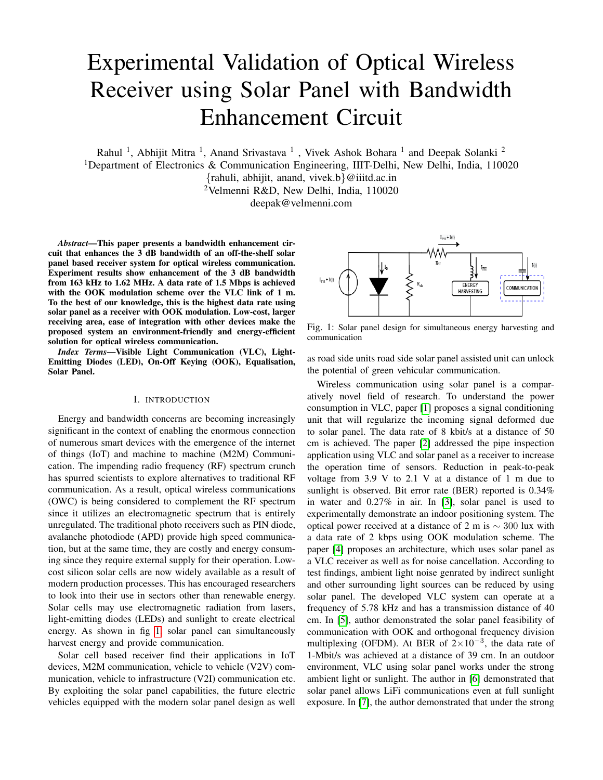first stage and act on only AC component of the photocurrent. As the energy harvesting is predominantly consider the DC component of light, the BEC will not impact the energy harvesting of solar panel.

The mathematical analysis of the Fig. [4](#page-3-0) is as follows:

<span id="page-2-2"></span>
$$
\frac{V_1}{I} = \frac{\frac{R_1}{(R_1 + R_{sr})}}{1/r + jwC + 1/R_{sh} + 1/(R_{sr} + R_1)}
$$
(6)

$$
\frac{V_2}{V_1} = \frac{R_2}{R_2 + (1/sC_2)}\tag{7}
$$

<span id="page-2-0"></span>As the circuit is having negative feedback, from virtual ground concept:  $V_2 = V_3$ 

<span id="page-2-3"></span>
$$
\frac{V_4}{V_3} = 1 + \frac{R_3}{R_5} \tag{8}
$$

$$
\frac{V_5}{V_4} = \frac{R_4}{R_4 + R_8} \tag{9}
$$

$$
\frac{V_{out}}{V_5} = 1 + \frac{R_6}{R_7}
$$
 (10)

<span id="page-2-1"></span>Here,  $V_{out} = v(w)$ 

from equation [\(9\)](#page-2-0), equation [\(10\)](#page-2-1) and from virtual ground concept  $(V_5 = V_6)$ 

<span id="page-2-4"></span>
$$
\frac{V_{out}}{V_4} = \left(\frac{R_4}{R_4 + R_8}\right) \cdot \left(1 + \frac{R_6}{R_7}\right) \tag{11}
$$

from equation  $(7)$ , equation  $(8)$  and equation  $(11)$ 

$$
\frac{V_{out}}{V_1} = \left(\frac{R_4}{R_4 + R_8}\right) \cdot \left(1 + \frac{R_3}{R_5}\right) \cdot \left(1 + \frac{R_6}{R_7}\right) \cdot \left(\frac{R_2}{R_2 + (1/sC_2)}\right) \tag{12}
$$

from equation [\(6\)](#page-2-5) and equation [\(11\)](#page-2-4)

$$
\frac{V_{out}}{I} = \left(\frac{\frac{R_1}{(R_1 + R_{sr})}}{1/r + jwC + 1/R_{5h} + 1/(R_{sr} + R_1)}\right).
$$

$$
\left(\frac{R_4}{R_4 + R_8}\right) \cdot \left(1 + \frac{R_3}{R_5}\right) \cdot \left(1 + \frac{R_6}{R_7}\right) \cdot \left(\frac{R_2}{R_2 + (1/sC_2)}\right)
$$
(13)

The modified receiver transfer function is given in [\(13\)](#page-2-6). The overall system response includes the solar panel response in cascade with the response of BEC. The frequency response and the time response of the designed receiver are described in the results section.

# IV. EXPERIMENT SETUP

A 5-watts polycrystalline solar panel is used for experiment and the solar panel parameter values are given in Table [I.](#page-2-7) To evaluate the performance of a solar panel receiver with and without BEC, testing is performed with the setup block diagram as given in Fig. [5.](#page-3-1) It consists of arbitrary waveform generator (AWG), LED driver circuit, 24 LED's panel, 5 W solar panel, BEC and an oscilloscope. The testing is done in

TABLE I: Solar panel parameters

<span id="page-2-7"></span><span id="page-2-5"></span>

| Parameters                       | Parameter Values |
|----------------------------------|------------------|
| Number of cells                  | $18(9\times2)$   |
| Open circuit voltage $(V_{oc})$  | $11.24$ V        |
| Short Circuit Current $(I_{sc})$ | $0.64$ A         |
| Rated Voltage $(V_{mp})$         | 923V             |
| Rated Current $(I_{mp})$         | 0.56A            |
| Module efficiency $(\eta)$       | $8.55\%$         |

TABLE II: Testing Parameters

<span id="page-2-8"></span>

| Parameters                                | Parameter Values |
|-------------------------------------------|------------------|
| Number of LEDs                            | 24               |
| Electrical power                          | 14.4 W           |
| Distance                                  | 1 m              |
| Average optical irradiance at solar panel | 1800 Lux         |
| Ambient light at solar panel              | $130$ Lux        |
| Solar panel                               | 5 W (18 Cells)   |

the presence of room light of 130 lux. A 5 W solar panel with 18 cells arranged in a  $9\times2$  configuration is used. The other parameters are given in table [II.](#page-2-8) The testing setup is given in Fig. [6,](#page-3-2) where the transmission distance is of 1 m. The receiver unit comprises of solar panel, BEC, digital signal processing board to process the incoming data, and a laptop.

Fig. [7](#page-3-3) shows V-I characteristics of 5 W solar panel under standard testing conditions. V-I characteristics plays an important role in estimation of DC parameter of solar panel [\[11\]](#page-5-10)–[\[13\]](#page-5-11). Series resistance and shunt resistance value for the considered solar panels are 0.88  $\Omega$  and 225.54  $\Omega$  respectively. The minimum and the maximum values of series resistance and shunt resistance for known values of solar panel parameter [\[14\]](#page-5-12) [\[15\]](#page-5-13) are given by:

$$
R_{\mathcal{S}} = 0\tag{14}
$$

$$
R_{S;max} = \frac{V_{oc} - V_{mp}}{I_{mp}}\tag{15}
$$

<span id="page-2-6"></span>Using [\[16\]](#page-5-14) the parasitic resistance are calculated. By using the slopes of the I-V characteristic at the short circuit and open circuit points, the initial values of resistance can be obtained:

$$
R_{\rm S0} = -\left(\frac{\partial V}{\partial I}\right)\Big|_{V=V_{OC}}\tag{16}
$$

$$
R_{\rm sh0} = \left(\frac{\partial V}{\partial I}\right)\Big|_{I=I_{SC}}\tag{17}
$$

once the initial values are verified within the range specified in (14)-(15), the values can be further optimized in terms of known parameter values as follows:

$$
R_{\rm s} = \frac{(A-B)V_{mp}}{(A+B)V_{mp}} + \frac{B}{(A+B)}\frac{V_{oc}}{I_{mp}}
$$
(18)

Where,

$$
A = (V_{mp} + (I_{mp} - I_{SC})R_{sh0})ln\left(\frac{V_{mp} + (I_{mp} - I_{SC})R_{sh0}}{V_{oc} - I_{SC}R_{sh0}}\right)
$$
(19)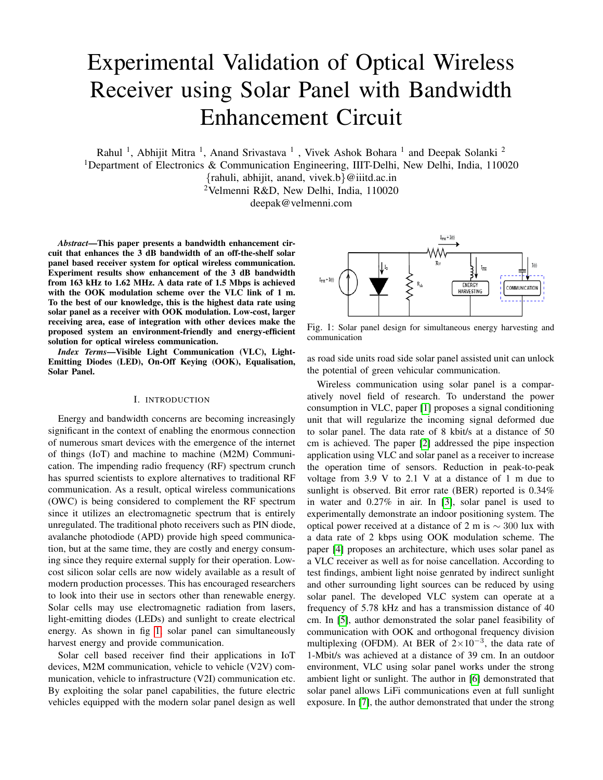<span id="page-3-0"></span>

Fig. 4: Solar panel receiver

<span id="page-3-1"></span>

Fig. 5: Block diagram of communication setup

<span id="page-3-2"></span>

Fig. 6: Testing setup

and

$$
B = V_{mp} - R_{sh0}I_{mp}
$$
 (20)

$$
R_{\rm sh} = R_{\rm sh0} \tag{21}
$$

The obtained values are utilized to reconstruct the I-V curve using Newton-Raphson iterative method [\[17\]](#page-5-15).

<span id="page-3-3"></span>

Fig. 7: V-I Characteristic of solar panel

<span id="page-3-4"></span>

Fig. 8: Frequency response of solar panel

<span id="page-3-5"></span>

| 1.00GSa/s<br>H 5.00us<br>60.0k pts |         |            |             | ū<br>$\sim\sim\sim\sim$<br>$\sim\sim\sim\sim\sim$ |            |             |            | ٠<br>D<br>$-6.000000000$ us |                    |             |
|------------------------------------|---------|------------|-------------|---------------------------------------------------|------------|-------------|------------|-----------------------------|--------------------|-------------|
|                                    |         |            |             |                                                   |            |             |            |                             |                    |             |
|                                    | Max     | Min        | Vpp         | Top                                               | Base       | Amp         | Avg        | Vrms                        | Area               | AreaP       |
| CH <sub>1</sub>                    | 12.0mV  | $-40.0$ mV | 52.0mV      | $-500$ uV                                         | $-40.0$ mV | 39.5mV      | $-10.6$ mV | 14 6mV                      | $-636nVs$          | $-17.4$ nVs |
|                                    | Freq    | Peri       | +Duty       | -Duty                                             | +Wid       | -Wid        | +Rate      | -Rate                       | Over               | Pre         |
| CH <sub>1</sub>                    | 555kHz  | 1.800us    | 88 89 %     | 11.11 %                                           | 1.600us    | 200.0ns     | *****      | $-912$ V/s                  | 31 64 %            | *****       |
|                                    | Rise    | Fall       | tVmax tVmin |                                                   | Vari       | Vupper Vmid |            |                             | Vlower VrmsP       |             |
| CH <sub>1</sub>                    | $*****$ | 34 65us    |             | $-21.10$ us $-100.0$ ns $103$ u $V^2$             |            |             |            | $-4.45mV - 20.2mV - 36.0mV$ | 13.9 <sub>mv</sub> |             |
|                                    |         |            |             |                                                   |            |             |            |                             |                    |             |
|                                    |         |            |             |                                                   |            |             |            |                             |                    |             |
|                                    |         |            |             |                                                   |            |             |            |                             |                    |             |

Fig. 9: Solar panel time response

## V. RESULTS AND DISCUSSION

The solar panels are basically designed to maximize the energy harvesting [\[18\]](#page-5-16)–[\[20\]](#page-5-17), and their bandwidth is in the range of few kHz. The tested solar panel is having 3 dB bandwidth of 163 kHz as shown in Fig. [8.](#page-3-4) The maximum operation region with solar panel is upto 400 kHz as thereafter the peak to peak voltage level is very low and duty cycle of the received waveform is uneven as shown in Fig. [9.](#page-3-5) As solar panel also passes the DC component of light, solar panel output consist of DC signal along with the time varying signal. Presence of DC signal will saturate the output, thereby decision making for logic low and logic high will become complicated. To retrieve the transmit data at receiver, the minimum peak to peak voltage level need to be maintained, that results in a decision for logic high or logic low sample values. Therefore, for the communication purpose the DC signal needs to be blocked. To block the DC signal and improve the 3 dB receiver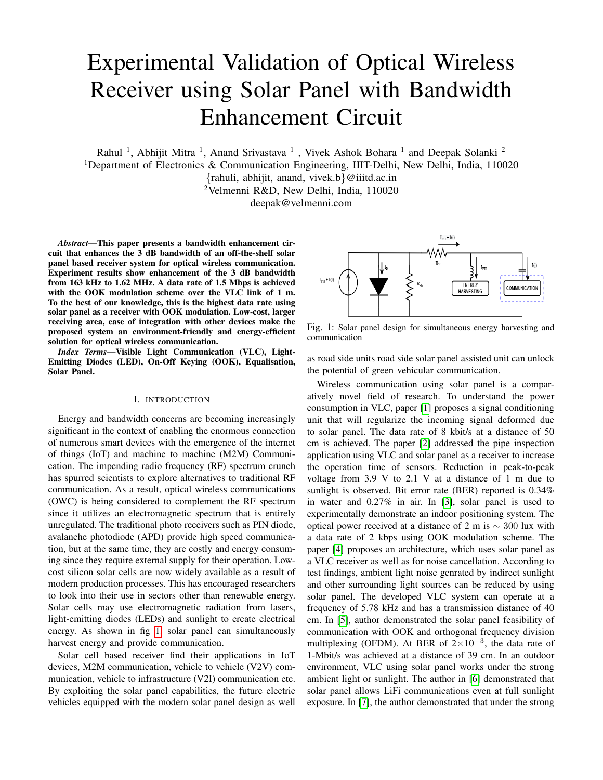<span id="page-4-0"></span>

Fig. 10: Frequency response of modified receiver design

<span id="page-4-1"></span>

Fig. 11: Time response of modified receiver

bandwidth an bandwidth enhancement circuit stage is used. A bandwidth enhancement circuit stage after the solar panel in receiver circuit increased the 3 dB bandwidth to 1.62 MHz as shown in Fig. [10.](#page-4-0) As the 3 dB bandwidth of the receiver is increased, the switching frequency up to which information can be extracted is also increased. With the help of BEC, the peak-to-peak voltage level is maintained high enough to distinguish between logic low and logic high level at 3 MHz. The duty cycle of the received signal is also improved, as shown in Fig. [11.](#page-4-1) The conversion of generated current into voltage is done with the help of resistor  $R_1$  instead of a transimpedance amplifier (TIA). A trans-impedance amplifier is not a suitable solution in this case, as solar panel generate more DC because of larger sensing area of solar panel and most of the op-amps necessary to design a trans-impedance amplifier will get saturated. It will not work specifically in outdoor scenario where sunlight comes in play, generating high DC at solar panel hence will saturate op-amps. It is more practical to first do current to voltage conversion using passive component and then separate DC and AC and use AC part of signal for communication. The load resistor before the BEC play an crucial role in deciding the input voltage signal for the BEC. The low value of load resistor will result in higher bandwidth but the signal peak- to-peak is very low and BEC will not be able to process the incoming signal, whereas higher value of load resistor may saturate the signal value which will result into clipping of the incoming signal. Therefore, selection of load resistor along with the BEC parameter values place an crucial role to decide the receiver response. BEC signal is fed to ADC for further processing and a low pass filter is integrated at the input of ADC to block the higher frequency noise. The eye diagram at 1.5 Mbps of data rate is shown in

<span id="page-4-2"></span>

Fig. 12: Eye pattern at the data rate of 1.5 Mbps

<span id="page-4-3"></span>

Fig. 13: Packet success rate during transmission with distance Fig. [12.](#page-4-2) The effect of distance between transmitter and receiver on successful transmission of packet is shown in Fig. [13.](#page-4-3) The testing was carried out by transmitting 1000 packets with each packet having 1518 bytes of length and it is observed that packet loss increases after 100 cm. The reason of increase in packet loss includes the divergence of light and responsivity of each solar cell. With distance light will diverge and hence the amount of light collected by each cell will decrease. At the receiver the analog circuit will not be able to produce the required peak-to-peak level and thus the decision making become difficult for analog to digital convertor. It may also be noted that at shorter distance (less than 30 cm), light source is very close to solar panel therefore, only few cells are getting illuminated resulting in slight degradation in performance.

Fig. [14](#page-5-18) shows the impact of transmission distance on the data rate for range of transmitted power. When the light source moves towards the solar panel, the maximum data rate is achieved at lower value of transmitted power as the optical power required to attain the desired extinction ratio is obtained. The trend can be observed in all the distance measurements. It may also be noted that at a distance of 40 cm, the light source is very close to solar panel and therefore, cells are getting high intensity of light. The maximum data rate is achieved at 6 W of power. When the power increases beyond 7 W the amount of peak-to-peak voltage received by the amplifying unit is beyond the linear region. Thus, clipping of the signal occurs due to reduction in peak to peak voltage, thereby leading to data loss. As the power level keeps on increasing, the data rate will decay and it saturates to 850 kbps beyond the power level of 11.5 W.

## VI. CONCLUSION

This paper proposed a receiver for optical wireless communication using solar panel as a receiver. Experimental results